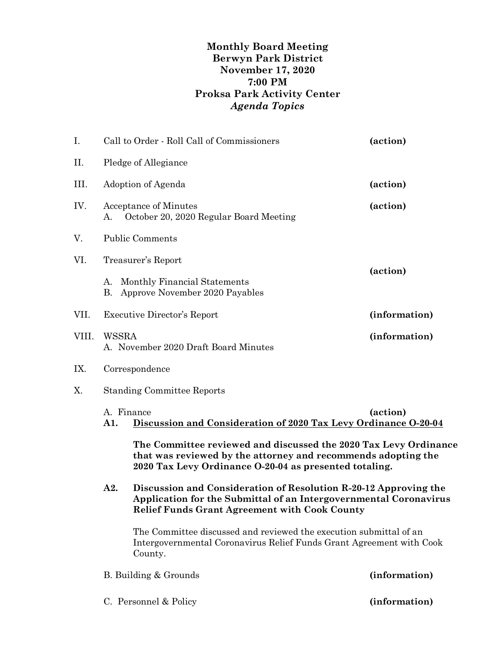## **Monthly Board Meeting Berwyn Park District November 17, 2020 7:00 PM Proksa Park Activity Center** *Agenda Topics*

| I.    |                                                                                      | Call to Order - Roll Call of Commissioners                                                                                                                                                    | (action) |  |
|-------|--------------------------------------------------------------------------------------|-----------------------------------------------------------------------------------------------------------------------------------------------------------------------------------------------|----------|--|
| Π.    | Pledge of Allegiance                                                                 |                                                                                                                                                                                               |          |  |
| III.  | Adoption of Agenda                                                                   |                                                                                                                                                                                               | (action) |  |
| IV.   | <b>Acceptance of Minutes</b><br>October 20, 2020 Regular Board Meeting<br>А.         |                                                                                                                                                                                               | (action) |  |
| V.    | <b>Public Comments</b>                                                               |                                                                                                                                                                                               |          |  |
| VI.   | Treasurer's Report                                                                   |                                                                                                                                                                                               |          |  |
|       | А.<br>В.                                                                             | Monthly Financial Statements<br>Approve November 2020 Payables                                                                                                                                | (action) |  |
| VII.  |                                                                                      | Executive Director's Report<br>(information)                                                                                                                                                  |          |  |
| VIII. | <b>WSSRA</b><br>(information)<br>A. November 2020 Draft Board Minutes                |                                                                                                                                                                                               |          |  |
| IX.   | Correspondence                                                                       |                                                                                                                                                                                               |          |  |
| Х.    | <b>Standing Committee Reports</b>                                                    |                                                                                                                                                                                               |          |  |
|       | A. Finance<br>Discussion and Consideration of 2020 Tax Levy Ordinance O-20-04<br>A1. |                                                                                                                                                                                               | (action) |  |
|       |                                                                                      | The Committee reviewed and discussed the 2020 Tax Levy Ordinance<br>that was reviewed by the attorney and recommends adopting the<br>2020 Tax Levy Ordinance O-20-04 as presented totaling.   |          |  |
| A2.   |                                                                                      | Discussion and Consideration of Resolution R-20-12 Approving the<br>Application for the Submittal of an Intergovernmental Coronavirus<br><b>Relief Funds Grant Agreement with Cook County</b> |          |  |
|       |                                                                                      | The Committee discussed and reviewed the execution submittal of an<br>Intergovernmental Coronavirus Relief Funds Grant Agreement with Cook<br>County.                                         |          |  |
|       |                                                                                      | B. Building & Grounds<br>(information)                                                                                                                                                        |          |  |
|       |                                                                                      |                                                                                                                                                                                               |          |  |

C. Personnel & Policy **(information)**